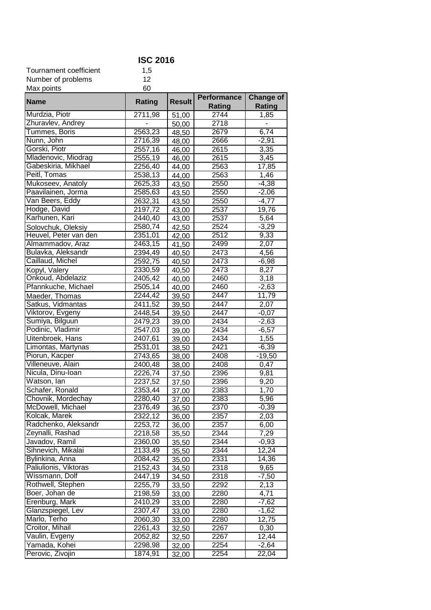| <b>ISC 2016</b>                         |                    |                |                    |                  |
|-----------------------------------------|--------------------|----------------|--------------------|------------------|
| Tournament coefficient                  | 1,5                |                |                    |                  |
| Number of problems                      | 12                 |                |                    |                  |
| Max points                              | 60                 |                |                    |                  |
|                                         |                    | <b>Result</b>  | <b>Performance</b> | <b>Change of</b> |
| <b>Name</b>                             | Rating             |                | Rating             | <b>Rating</b>    |
| Murdzia, Piotr                          | 2711,98            | 51,00          | 2744               | 1,85             |
| Zhuravlev, Andrey                       |                    | 50,00          | 2718               |                  |
| Tummes, Boris                           | 2563,23            | 48,50          | 2679               | 6,74             |
| Nunn, John                              | 2716,39            | 48,00          | 2666               | $-2,91$          |
| Gorski, Piotr                           | 2557,16            | 46,00          | 2615               | 3,35             |
| Mladenovic, Miodrag                     | 2555,19            | 46,00          | 2615               | 3,45             |
| Gabeskiria, Mikhael                     | 2256,40            | 44,00          | 2563               | 17,85            |
| Peitl, Tomas                            | 2538,13            | 44,00          | 2563               | 1,46             |
| Mukoseev, Anatoly                       | 2625,33            | 43,50          | 2550               | $-4,38$          |
| Paavilainen, Jorma                      | 2585,63            | 43,50          | 2550               | $-2,06$          |
| Van Beers, Eddy                         | 2632,31            | 43,50          | 2550               | $-4,77$          |
| Hodge, David                            | 2197,72            | 43,00          | 2537               | 19,76            |
| Karhunen, Kari                          | 2440,40            | 43,00          | 2537               | 5,64             |
| Solovchuk, Oleksiy                      | 2580,74            | 42,50          | 2524               | $-3,29$          |
| Heuvel, Peter van den                   | 2351,01            | 42,00          | 2512               | 9,33             |
| Almammadov, Araz                        | 2463,15            | 41,50          | 2499               | 2,07             |
| Bulavka, Aleksandr                      | 2394,49            | 40,50          | 2473               | 4,56             |
| Caillaud, Michel                        | 2592,75            | 40,50          | 2473               | $-6,98$          |
| Kopyl, Valery                           | 2330,59            | 40,50          | 2473               | 8,27             |
| Onkoud, Abdelaziz                       | 2405,42            | 40,00          | 2460               | 3,18             |
| Pfannkuche, Michael                     | 2505,14            | 40,00          | 2460               | $-2,63$          |
| Maeder, Thomas                          | 2244,42            | 39,50          | 2447               | 11,79            |
| Satkus, Vidmantas                       | 2411,52            | 39,50          | 2447               | 2,07             |
| Viktorov, Evgeny                        | 2448,54            | 39,50          | 2447               | $-0,07$          |
| Sumiya, Bilguun                         | 2479,23            | 39,00          | $\sqrt{2434}$      | $-2,63$          |
| Podinic, Vladimir                       | 2547,03            | 39,00          | $\overline{2434}$  | $-6,57$          |
| Uitenbroek, Hans                        | 2407,61            | 39,00          | 2434               | 1,55             |
| Limontas, Martynas                      | 2531,01            | 38,50          | 2421               | $-6,39$          |
| Piorun, Kacper                          | 2743,65            | 38,00          | 2408               | $-19,50$         |
| Villeneuve, Alain                       | 2400,48            | 38,00          | 2408               | 0,47             |
| Nicula, Dinu-Ioan                       | 2226,74            | 37,50          | 2396               | 9,81             |
| Watson, lan<br>Schafer, Ronald          | 2237,52            | 37,50          | 2396               | 9,20             |
|                                         | 2353,44            | 37,00          | 2383               | 1,70             |
| Chovnik, Mordechay<br>McDowell, Michael | 2280,40            | 37,00          | 2383               | 5,96             |
| Kolcak, Marek                           | 2376,49            | 36,50          | 2370               | $-0,39$          |
| Radchenko, Aleksandr                    | 2322,12<br>2253,72 | 36,00          | 2357               | 2,03             |
| Zeynalli, Rashad                        | 2218,58            | 36,00          | 2357<br>2344       | 6,00<br>7,29     |
| Javadov, Ramil                          | 2360,00            | 35,50          | 2344               | $-0,93$          |
| Sihnevich, Mikalai                      | 2133,49            | 35,50          | 2344               | 12,24            |
| Bylinkina, Anna                         | 2084,42            | 35,50          | 2331               | 14,36            |
| Paliulionis, Viktoras                   | 2152,43            | 35,00<br>34,50 | 2318               | 9,65             |
| Wissmann, Dolf                          | 2447,19            | 34,50          | 2318               | $-7,50$          |
| Rothwell, Stephen                       | 2255,79            | 33,50          | 2292               | 2,13             |
| Boer, Johan de                          | 2198,59            | 33,00          | 2280               | 4,71             |
| Erenburg, Mark                          | 2410,29            | 33,00          | 2280               | $-7,62$          |
| Glanzspiegel, Lev                       | 2307,47            | 33,00          | 2280               | $-1,62$          |
| Marlo, Terho                            | 2060,30            | 33,00          | 2280               | 12,75            |
| Croitor, Mihail                         | 2261,43            | 32,50          | 2267               | 0,30             |
| Vaulin, Evgeny                          | 2052,82            | 32,50          | 2267               | 12,44            |
| Yamada, Kohei                           | 2298,98            | 32,00          | 2254               | $-2,64$          |
| Perovic, Zivojin                        | 1874,91            | 32,00          | 2254               | 22,04            |
|                                         |                    |                |                    |                  |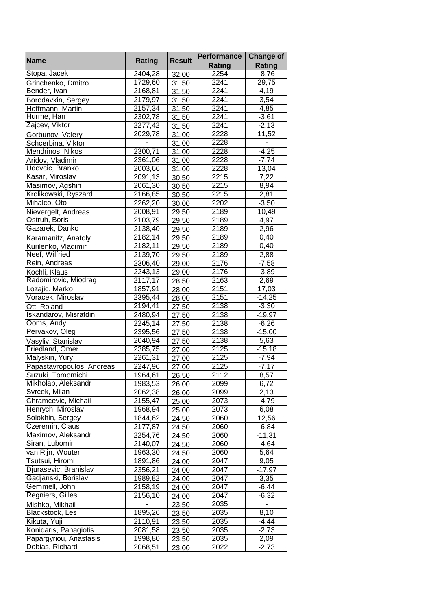|                           |         | <b>Result</b>      | Performance       | <b>Change of</b>         |
|---------------------------|---------|--------------------|-------------------|--------------------------|
| <b>Name</b>               | Rating  |                    | <b>Rating</b>     | <b>Rating</b>            |
| Stopa, Jacek              | 2404,28 | 32,00              | 2254              | $-8,76$                  |
| Grinchenko, Dmitro        | 1729,60 | 31,50              | 2241              | 29,75                    |
| Bender, Ivan              | 2168,81 | 31,50              | 2241              | 4,19                     |
| Borodavkin, Sergey        | 2179,97 | 31,50              | $\overline{22}41$ | 3,54                     |
| Hoffmann, Martin          | 2157,34 | 31,50              | 2241              | 4,85                     |
| Hurme, Harri              | 2302,78 | 31,50              | 2241              | $-3,61$                  |
| Zajcev, Viktor            | 2277,42 | 31,50              | 2241              | $-2,13$                  |
| Gorbunov, Valery          | 2029,78 | 31,00              | 2228              | 11,52                    |
| Schcerbina, Viktor        |         | 31,00              | 2228              |                          |
| Mendrinos, Nikos          | 2300,71 | 31,00              | 2228              | $-4,25$                  |
| Aridov, Vladimir          | 2361,06 | 31,00              | 2228              | $-7,74$                  |
| Udovcic, Branko           | 2003,66 | 31,00              | 2228              | 13,04                    |
| Kasar, Miroslav           | 2091,13 | 30,50              | 2215              | 7,22                     |
| Masimov, Agshin           | 2061,30 | 30,50              | 2215              | 8,94                     |
| Krolikowski, Ryszard      | 2166,85 | 30,50              | 2215              | 2,81                     |
| Mihalco, Oto              | 2262,20 | 30,00              | 2202              | $-3,50$                  |
| Nievergelt, Andreas       | 2008,91 | 29,50              | 2189              | 10,49                    |
| Ostruh, Boris             | 2103,79 | 29,50              | 2189              | 4,97                     |
| Gazarek, Danko            | 2138,40 | 29,50              | 2189              | 2,96                     |
| Karamanitz, Anatoly       | 2182,14 | 29,50              | 2189              | 0,40                     |
| Kurilenko, Vladimir       | 2182,11 | 29,50              | 2189              | 0,40                     |
| Neef, Wilfried            | 2139,70 | 29,50              | 2189              | 2,88                     |
| Rein, Andreas             | 2306,40 | 29,00              | $\frac{1}{2176}$  | $-7,58$                  |
| Kochli, Klaus             | 2243,13 | 29,00              | 2176              | $-3,89$                  |
| Radomirovic, Miodrag      | 2117,17 | 28,50              | 2163              | 2,69                     |
| Lozajic, Marko            | 1857,91 | 28,00              | 2151              | 17,03                    |
| Voracek, Miroslav         | 2395,44 | 28,00              | 2151              | $-14,25$                 |
| Ott, Roland               | 2194,41 | 27,50              | 2138              | $-3,30$                  |
| Iskandarov, Misratdin     | 2480,94 | 27,50              | 2138              | $-19,97$                 |
| Ooms, Andy                | 2245,14 | 27,50              | 2138              | $-6,26$                  |
| Pervakov, Oleg            | 2395,56 | 27,50              | 2138              | $-15,00$                 |
| Vasyliv, Stanislav        | 2040,94 | 27,50              | 2138              | 5,63                     |
| Friedland, Omer           | 2385,75 | 27,00              | 2125              | $-15,18$                 |
| Malyskin, Yury            | 2261,31 | 27,00              | 2125              | $-7,94$                  |
| Papastavropoulos, Andreas | 2247,96 | $\overline{27,00}$ | 2125              | $-7,17$                  |
| Suzuki, Tomomichi         | 1964,61 | 26,50              | 2112              | 8,57                     |
| Mikholap, Aleksandr       | 1983,53 | 26,00              | 2099              | 6,72                     |
| Svrcek, Milan             | 2062,38 | 26,00              | 2099              | 2,13                     |
| Chramcevic, Michail       | 2155,47 | 25,00              | 2073              | $-4,79$                  |
| Henrych, Miroslav         | 1968,94 | 25,00              | 2073              | 6,08                     |
| Solokhin, Sergey          | 1844,62 | 24,50              | 2060              | 12,56                    |
| Czeremin, Claus           | 2177,87 | 24,50              | 2060              | $-6,84$                  |
| Maximov, Aleksandr        | 2254,76 | 24,50              | 2060              | $-11,31$                 |
| Siran, Lubomir            | 2140,07 | 24,50              | 2060              | $-4,64$                  |
| van Rijn, Wouter          | 1963,30 | 24,50              | 2060              | 5,64                     |
| Tsutsui, Hiromi           | 1891,86 | 24,00              | 2047              | 9,05                     |
| Djurasevic, Branislav     | 2356,21 | 24,00              | 2047              | $-17,97$                 |
| Gadjanski, Borislav       | 1989,82 | 24,00              | 2047              | 3,35                     |
| Gemmell, John             | 2158,19 | 24,00              | 2047              | $-6,44$                  |
| Regniers, Gilles          | 2156,10 | 24,00              | 2047              | $-6,32$                  |
| Mishko, Mikhail           | ٠       | 23,50              | 2035              | $\overline{\phantom{a}}$ |
| Blackstock, Les           | 1895,26 | 23,50              | 2035              | 8,10                     |
| Kikuta, Yuji              | 2110,91 | 23,50              | 2035              | $-4,44$                  |
| Konidaris, Panagiotis     | 2081,58 | 23,50              | 2035              | $-2,73$                  |
| Papargyriou, Anastasis    | 1998,80 | 23,50              | 2035              | 2,09                     |
| Dobias, Richard           | 2068,51 | 23,00              | 2022              | $-2,73$                  |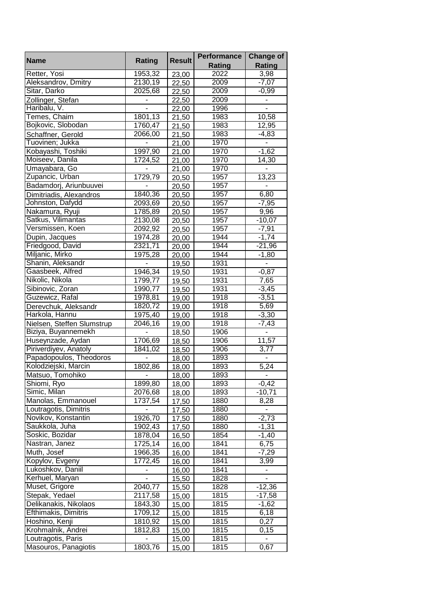| <b>Name</b>                | Rating                   | <b>Result</b> | <b>Performance</b> | <b>Change of</b>             |
|----------------------------|--------------------------|---------------|--------------------|------------------------------|
|                            |                          |               | Rating             | Rating                       |
| Retter, Yosi               | 1953,32                  | 23,00         | 2022               | 3,98                         |
| Aleksandrov, Dmitry        | 2130, 19                 | 22,50         | 2009               | $-7,07$                      |
| Sitar, Darko               | 2025,68                  | 22,50         | 2009               | $-0,99$                      |
| Zollinger, Stefan          |                          | 22,50         | 2009               |                              |
| Haribalu, V.               |                          | 22,00         | 1996               |                              |
| Temes, Chaim               | 1801,13                  | 21,50         | 1983               | 10,58                        |
| Bojkovic, Slobodan         | 1760,47                  | 21,50         | 1983               | 12,95                        |
| Schaffner, Gerold          | 2066,00                  | 21,50         | 1983               | $-4,83$                      |
| Tuovinen; Jukka            |                          | 21,00         | 1970               |                              |
| Kobayashi, Toshiki         | 1997,90                  | 21,00         | 1970               | $-1,62$                      |
| Moiseev, Danila            | 1724,52                  | 21,00         | 1970               | 14,30                        |
| Umayabara, Go              |                          | 21,00         | 1970               |                              |
| Zupancic, Urban            | 1729,79                  | 20,50         | 1957               | 13,23                        |
| Badamdorj, Ariunbuuvei     |                          | 20,50         | 1957               |                              |
| Dimitriadis, Alexandros    | 1840,36                  | 20,50         | 1957               | 6,80                         |
| Johnston, Dafydd           | 2093,69                  | 20,50         | 1957               | $-7,95$                      |
| Nakamura, Ryuji            | 1785,89                  | 20,50         | 1957               | 9,96                         |
| Satkus, Vilimantas         | 2130,08                  | 20,50         | 1957               | $-10,07$                     |
| Versmissen, Koen           | 2092,92                  | 20,50         | 1957               | $-7,91$                      |
| Dupin, Jacques             | 1974,28                  | 20,00         | 1944               | $-1,74$                      |
| Friedgood, David           | 2321,71                  | 20,00         | 1944               | $-21,96$                     |
| Miljanic, Mirko            | 1975,28                  | 20,00         | 1944               | $-1,80$                      |
| Shanin, Aleksandr          | $\overline{\phantom{a}}$ | 19,50         | 1931               | $\overline{\phantom{a}}$     |
| Gaasbeek, Alfred           | 1946,34                  | 19,50         | 1931               | $-0,87$                      |
| Nikolic, Nikola            | 1799,77                  | 19,50         | 1931               | 7,65                         |
| Sibinovic, Zoran           | 1990,77                  | 19,50         | 1931               | $-3,45$                      |
| Guzewicz, Rafal            | 1978,81                  | 19,00         | $\frac{1}{19}$ 18  | $-3,51$                      |
| Derevchuk, Aleksandr       | 1820,72                  | 19,00         | 1918               | 5,69                         |
| Harkola, Hannu             | 1975,40                  | 19,00         | 1918               | $-3,30$                      |
| Nielsen, Steffen Slumstrup | 2046,16                  | 19,00         | 1918               | $-7,43$                      |
| Biziya, Buyannemekh        |                          | 18,50         | 1906               | $\overline{\phantom{a}}$     |
| Huseynzade, Aydan          | 1706,69                  | 18,50         | 1906               | 11,57                        |
| Piriverdiyev, Anatoly      | 1841,02                  | 18,50         | 1906               | 3,77                         |
| Papadopoulos, Theodoros    |                          | 18,00         | 1893               |                              |
| Kolodziejski, Marcin       | 1802,86                  | 18,00         | 1893               | 5,24                         |
| Matsuo, Tomohiko           |                          | 18,00         | 1893               |                              |
| Shiomi, Ryo                | 1899,80                  | 18,00         | 1893               | $-0,42$                      |
| Simic, Milan               | 2076,68                  | 18,00         | 1893               | $-10,71$                     |
| Manolas, Emmanouel         | 1737,54                  | 17,50         | 1880               | 8,28                         |
| Loutragotis, Dimitris      |                          | 17,50         | 1880               |                              |
| Novikov, Konstantin        | 1926,70                  | 17,50         | 1880               | $-2,73$                      |
| Saukkola, Juha             | 1902,43                  | 17,50         | 1880               | $-1,31$                      |
| Soskic, Bozidar            | 1878,04                  | 16,50         | 1854               | $-1,40$                      |
| Nastran, Janez             | 1725,14                  | 16,00         | 1841               | 6,75                         |
| Muth, Josef                | 1966,35                  | 16,00         | 1841               | $-7,29$                      |
| Kopylov, Evgeny            | 1772,45                  | 16,00         | 1841               | 3,99                         |
| Lukoshkov, Daniil          |                          | 16,00         | 1841               | $\overline{\phantom{a}}$     |
| Kerhuel, Maryan            | $\blacksquare$           | 15,50         | 1828               | $\qquad \qquad \blacksquare$ |
| Muset, Grigore             | 2040,77                  | 15,50         | 1828               | $-12,36$                     |
| Stepak, Yedael             | 2117,58                  | 15,00         | 1815               | $-17,58$                     |
| Delikanakis, Nikolaos      | 1843,30                  | 15,00         | 1815               | $-1,62$                      |
| Efthimakis, Dimitris       | 1709,12                  | 15,00         | 1815               | 6,18                         |
| Hoshino, Kenji             | 1810,92                  | 15,00         | 1815               | 0,27                         |
| Krohmalnik, Andrei         | 1812,83                  | 15,00         | 1815               | 0,15                         |
| Loutragotis, Paris         |                          | 15,00         | 1815               |                              |
| Masouros, Panagiotis       | 1803,76                  | 15,00         | 1815               | 0,67                         |
|                            |                          |               |                    |                              |